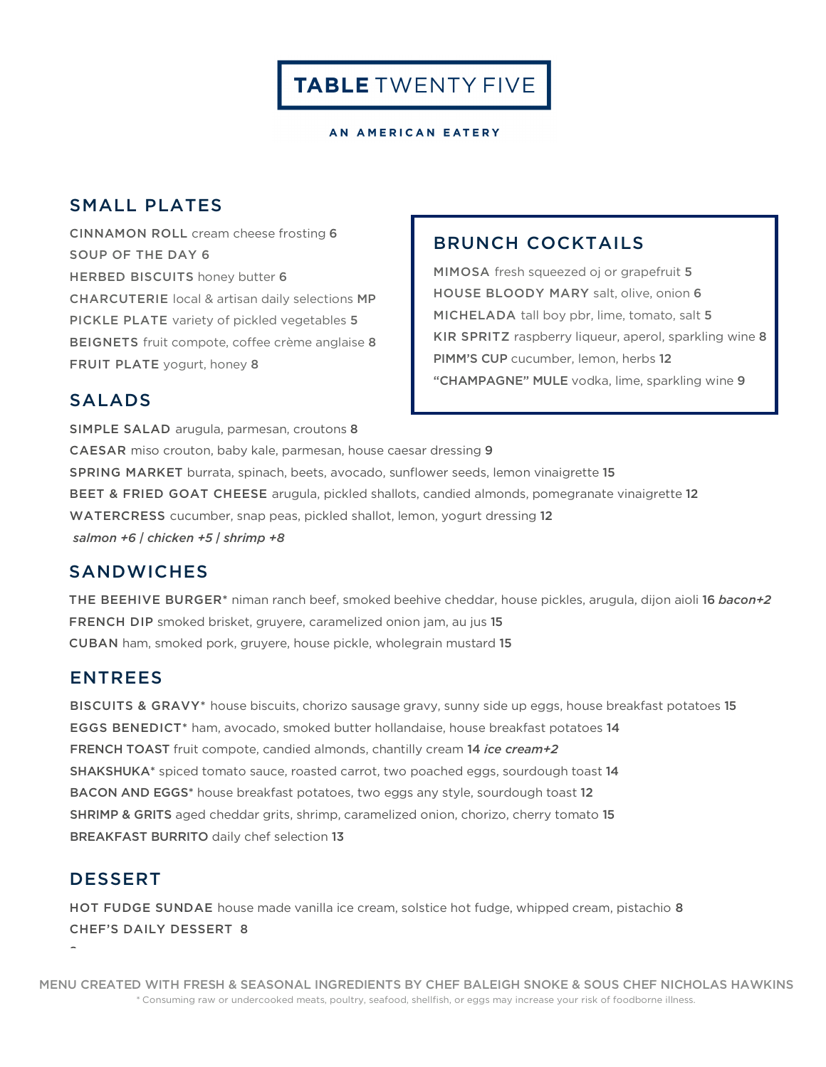TABLE TWENTY FIVE

AN AMERICAN EATERY

### SMALL PLATES

CINNAMON ROLL cream cheese frosting 6 SOUP OF THE DAY 6 HERBED BISCUITS honey butter 6 CHARCUTERIE local & artisan daily selections MP PICKLE PLATE variety of pickled vegetables 5 BEIGNETS fruit compote, coffee crème anglaise 8 FRUIT PLATE yogurt, honey 8

#### BRUNCH COCKTAILS

MIMOSA fresh squeezed oj or grapefruit 5 HOUSE BLOODY MARY salt, olive, onion 6 MICHELADA tall boy pbr, lime, tomato, salt 5 KIR SPRITZ raspberry liqueur, aperol, sparkling wine 8 PIMM'S CUP cucumber, lemon, herbs 12 "CHAMPAGNE" MULE vodka, lime, sparkling wine 9

#### SALADS

SIMPLE SALAD arugula, parmesan, croutons 8 CAESAR miso crouton, baby kale, parmesan, house caesar dressing 9 SPRING MARKET burrata, spinach, beets, avocado, sunflower seeds, lemon vinaigrette 15 BEET & FRIED GOAT CHEESE arugula, pickled shallots, candied almonds, pomegranate vinaigrette 12 WATERCRESS cucumber, snap peas, pickled shallot, lemon, yogurt dressing 12 *salmon +6 | chicken +5 | shrimp +8*

#### **SANDWICHES**

THE BEEHIVE BURGER\* niman ranch beef, smoked beehive cheddar, house pickles, arugula, dijon aioli 16 *bacon+2* FRENCH DIP smoked brisket, gruyere, caramelized onion jam, au jus 15 CUBAN ham, smoked pork, gruyere, house pickle, wholegrain mustard 15

#### ENTREES

BISCUITS & GRAVY\* house biscuits, chorizo sausage gravy, sunny side up eggs, house breakfast potatoes 15 EGGS BENEDICT\* ham, avocado, smoked butter hollandaise, house breakfast potatoes 14 FRENCH TOAST fruit compote, candied almonds, chantilly cream 14 *ice cream+2* SHAKSHUKA\* spiced tomato sauce, roasted carrot, two poached eggs, sourdough toast 14 BACON AND EGGS\* house breakfast potatoes, two eggs any style, sourdough toast 12 SHRIMP & GRITS aged cheddar grits, shrimp, caramelized onion, chorizo, cherry tomato 15 BREAKFAST BURRITO daily chef selection 13

#### DESSERT

î.

HOT FUDGE SUNDAE house made vanilla ice cream, solstice hot fudge, whipped cream, pistachio 8 CHEF'S DAILY DESSERT 8

MENU CREATED WITH FRESH & SEASONAL INGREDIENTS BY CHEF BALEIGH SNOKE & SOUS CHEF NICHOLAS HAWKINS \* Consuming raw or undercooked meats, poultry, seafood, shellfish, or eggs may increase your risk of foodborne illness.